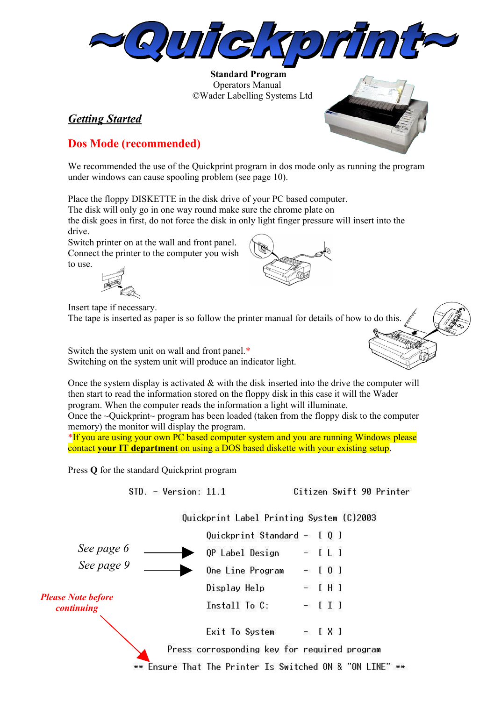

 **Standard Program** Operators Manual ©Wader Labelling Systems Ltd

## *Getting Started*



## **Dos Mode (recommended)**

We recommended the use of the Quickprint program in dos mode only as running the program under windows can cause spooling problem (see page 10).

Place the floppy DISKETTE in the disk drive of your PC based computer.

The disk will only go in one way round make sure the chrome plate on

the disk goes in first, do not force the disk in only light finger pressure will insert into the drive.

Switch printer on at the wall and front panel. Connect the printer to the computer you wish to use.



Insert tape if necessary.

The tape is inserted as paper is so follow the printer manual for details of how to do this.

Switch the system unit on wall and front panel.\* Switching on the system unit will produce an indicator light.

Once the system display is activated  $\&$  with the disk inserted into the drive the computer will then start to read the information stored on the floppy disk in this case it will the Wader program. When the computer reads the information a light will illuminate.

Once the  $\sim$ Quickprint $\sim$  program has been loaded (taken from the floppy disk to the computer memory) the monitor will display the program.

\*If you are using your own PC based computer system and you are running Windows please contact **your IT department** on using a DOS based diskette with your existing setup.

Press **Q** for the standard Quickprint program

 $STD. - Version: 11.1$ 

Citizen Swift 90 Printer

Ouickprint Label Printing System (C)2003

|                                                                     |                                          | Quickprint Standard - $[0]$                  |                            |                |  |
|---------------------------------------------------------------------|------------------------------------------|----------------------------------------------|----------------------------|----------------|--|
| See page 6<br>See page 9<br><b>Please Note before</b><br>continuing |                                          | OP Label Design                              |                            | $=$ [ L ]      |  |
|                                                                     |                                          | One Line Program                             | $\frac{1}{\sqrt{2}}$       | 0 <sub>1</sub> |  |
|                                                                     |                                          | Display Help                                 | $\mathcal{L}(\mathcal{E})$ | $[$ H $]$      |  |
|                                                                     |                                          | Install To C:                                | $\frac{1}{2}$              | [ ] ]          |  |
|                                                                     |                                          | Exit To System                               | $-$ [ X ]                  |                |  |
|                                                                     |                                          | Press corrosponding key for required program |                            |                |  |
|                                                                     | Ensure That The Printer Is Switched ON & |                                              |                            |                |  |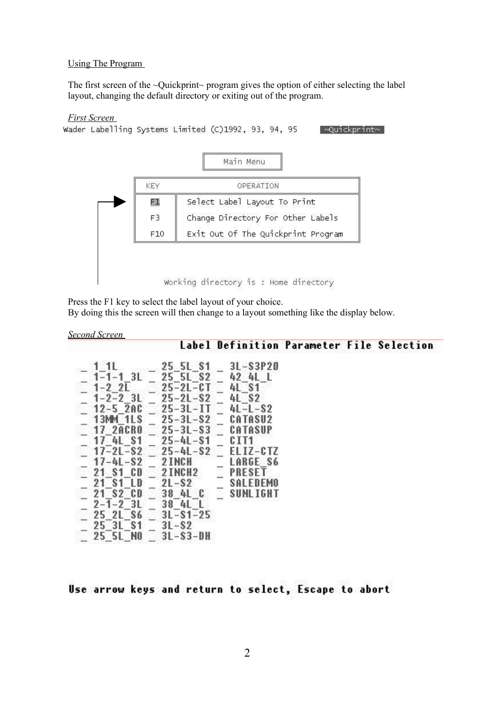#### Using The Program

The first screen of the ~Quickprint~ program gives the option of either selecting the label layout, changing the default directory or exiting out of the program.

#### *First Screen*

```
Wader Labelling Systems Limited (C)1992, 93, 94, 95
                                          ⊸Ouickprint∼
```


Press the F1 key to select the label layout of your choice.

By doing this the screen will then change to a layout something like the display below.

#### *Second Screen*

Label Definition Parameter File Selection

|                      | 25 5L S1            |    | 3L-S3P20   |
|----------------------|---------------------|----|------------|
| $1 - 1 - 1$ 3L       | 25 5L S2            |    | 42 AL L    |
|                      |                     |    |            |
| $1 - 22$             | 25-2L-CT            |    | 4L S1      |
| $1 - 2 - 2$ 3L       | $25 - 21 - S2$      |    | 4L S2      |
| $12 - 520$           | $25 - 31 - 11$      |    | 4L-L-S2    |
|                      |                     |    |            |
| 13MM 1LS             | $25 - 31 - S2$      |    | CATASU2    |
| <b>17 2ACRO</b>      | $25 - 31 - S3$      |    | CATASUP    |
| 17 4L S1             | $25 - 41 - S1$      |    | CIT1       |
|                      |                     |    |            |
| $17 - 21 - S2$       | $25 - 41 - S2$      |    | EL 17-C TZ |
| $17 - 41 - S2$       | 2 INCH              |    | LARGE S6   |
| 21 S1 CD             | 2 INCH <sub>2</sub> | 9. | PRESET     |
|                      |                     |    |            |
| 21 S1 LD             | $2L-S2$             |    | SALEDEMO   |
| 21 S <sub>2</sub> CD | 38 AL C             | Q. | SUNL IGHT  |
| $2 - 1 - 2$ 3L       | 38 4L L             |    |            |
|                      |                     |    |            |
| 25 2L S6             | $3L-S1-25$          |    |            |
| 25 3L S1             | $3L-S2$             |    |            |
| 25 5L NO             | $3L-S3-DH$          |    |            |
|                      |                     |    |            |

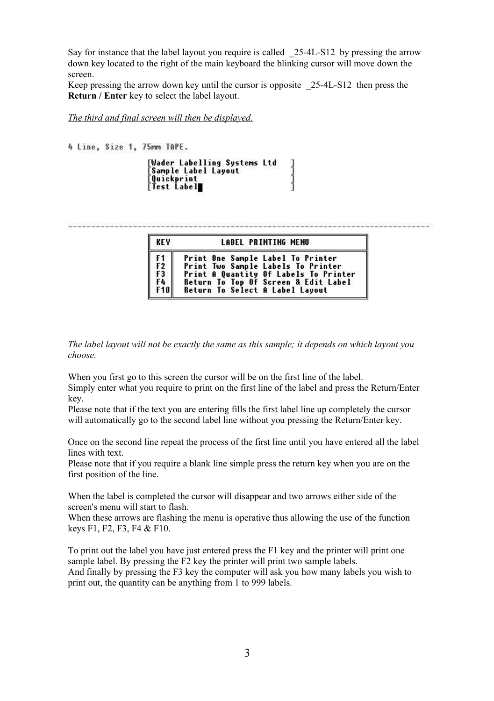Say for instance that the label layout you require is called \_25-4L-S12 by pressing the arrow down key located to the right of the main keyboard the blinking cursor will move down the screen.

Keep pressing the arrow down key until the cursor is opposite 25-4L-S12 then press the **Return / Enter** key to select the label layout.

*The third and final screen will then be displayed.*

```
4 Line. Size 1. 75mm TAPE.
        [Wader Labelling Systems Ltd
                                            |<br>|<br>|<br>|
        Sample Label Layout
         Quickprint
        Test Label∎
```

| <b>KEY</b>   | <b>LABEL PRINTING MENU</b>        |                                       |  |  |  |
|--------------|-----------------------------------|---------------------------------------|--|--|--|
| F1<br>F2     | Print One Sample Label To Printer | Print Two Sample Labels To Printer    |  |  |  |
| F3           |                                   | Print A Quantity Of Labels To Printer |  |  |  |
| F4  <br>Fial | Return To Select A Label Layout   | Return To Top Of Screen & Edit Label  |  |  |  |

*The label layout will not be exactly the same as this sample; it depends on which layout you choose.*

When you first go to this screen the cursor will be on the first line of the label.

Simply enter what you require to print on the first line of the label and press the Return/Enter key.

Please note that if the text you are entering fills the first label line up completely the cursor will automatically go to the second label line without you pressing the Return/Enter key.

Once on the second line repeat the process of the first line until you have entered all the label lines with text.

Please note that if you require a blank line simple press the return key when you are on the first position of the line.

When the label is completed the cursor will disappear and two arrows either side of the screen's menu will start to flash.

When these arrows are flashing the menu is operative thus allowing the use of the function keys F1, F2, F3, F4 & F10.

To print out the label you have just entered press the F1 key and the printer will print one sample label. By pressing the F2 key the printer will print two sample labels. And finally by pressing the F3 key the computer will ask you how many labels you wish to print out, the quantity can be anything from 1 to 999 labels.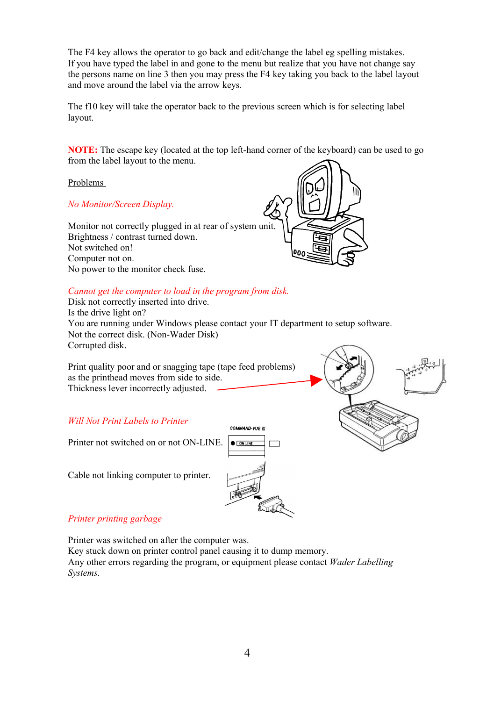The F4 key allows the operator to go back and edit/change the label eg spelling mistakes. If you have typed the label in and gone to the menu but realize that you have not change say the persons name on line 3 then you may press the F4 key taking you back to the label layout and move around the label via the arrow keys.

The f10 key will take the operator back to the previous screen which is for selecting label layout.

**NOTE:** The escape key (located at the top left-hand corner of the keyboard) can be used to go from the label layout to the menu.

Problems

*No Monitor/Screen Display.*

Monitor not correctly plugged in at rear of system unit. Brightness / contrast turned down. Not switched on! Computer not on. No power to the monitor check fuse.



## *Cannot get the computer to load in the program from disk.*

Disk not correctly inserted into drive. Is the drive light on? You are running under Windows please contact your IT department to setup software. Not the correct disk. (Non-Wader Disk) Corrupted disk.

Print quality poor and or snagging tape (tape feed problems) as the printhead moves from side to side. Thickness lever incorrectly adjusted.

*Will Not Print Labels to Printer*

Printer not switched on or not ON-LINE.

Cable not linking computer to printer.





## *Printer printing garbage*

Printer was switched on after the computer was.

Key stuck down on printer control panel causing it to dump memory. Any other errors regarding the program, or equipment please contact *Wader Labelling Systems.*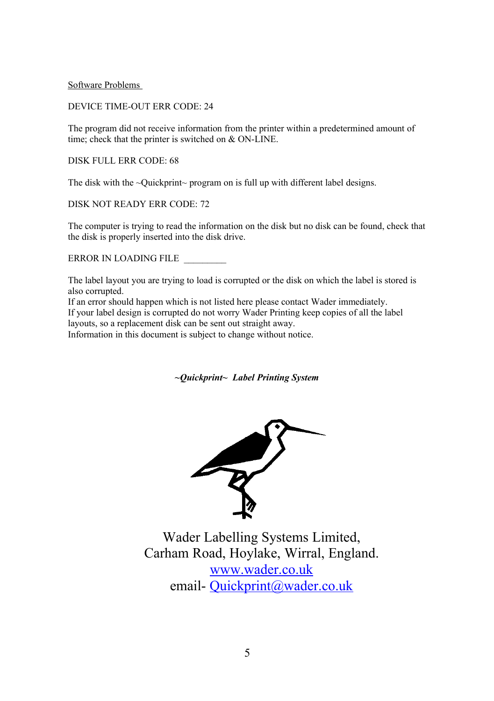Software Problems

DEVICE TIME-OUT ERR CODE: 24

The program did not receive information from the printer within a predetermined amount of time; check that the printer is switched on & ON-LINE.

DISK FULL ERR CODE: 68

The disk with the ~Quickprint~ program on is full up with different label designs.

DISK NOT READY ERR CODE: 72

The computer is trying to read the information on the disk but no disk can be found, check that the disk is properly inserted into the disk drive.

ERROR IN LOADING FILE \_\_\_\_\_\_\_\_\_

The label layout you are trying to load is corrupted or the disk on which the label is stored is also corrupted.

If an error should happen which is not listed here please contact Wader immediately. If your label design is corrupted do not worry Wader Printing keep copies of all the label layouts, so a replacement disk can be sent out straight away.

Information in this document is subject to change without notice.

*~Quickprint~ Label Printing System*



Wader Labelling Systems Limited, Carham Road, Hoylake, Wirral, England. [www.wader.co.uk](http://www.wader.co.uk/) email- [Quickprint@wader.co.uk](mailto:Quickprint@wader.co.uk)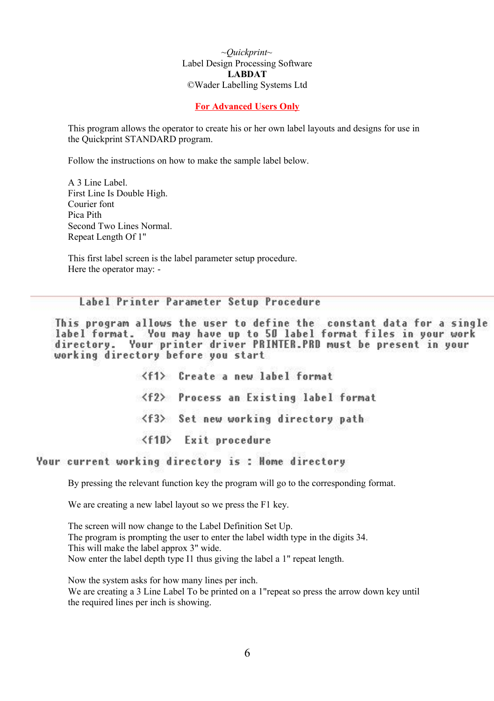*~Quickprint~* Label Design Processing Software **LABDAT** ©Wader Labelling Systems Ltd

## **For Advanced Users Only**

This program allows the operator to create his or her own label layouts and designs for use in the Quickprint STANDARD program.

Follow the instructions on how to make the sample label below.

A 3 Line Label. First Line Is Double High. Courier font Pica Pith Second Two Lines Normal. Repeat Length Of 1"

This first label screen is the label parameter setup procedure. Here the operator may: -

## Label Printer Parameter Setup Procedure

This program allows the user to define the constant data for a single label format. You may have up to 50 label format files in your work directory. Your printer driver PRINTER.PRD must be present in your working directory before you start

> <f1> Create a new label format <f2> Process an Existing label format <f3> Set new working directory path <f10> Exit procedure

## Your current working directory is: Home directory

By pressing the relevant function key the program will go to the corresponding format.

We are creating a new label layout so we press the F1 key.

The screen will now change to the Label Definition Set Up. The program is prompting the user to enter the label width type in the digits 34. This will make the label approx 3" wide. Now enter the label depth type I1 thus giving the label a 1" repeat length.

Now the system asks for how many lines per inch. We are creating a 3 Line Label To be printed on a 1"repeat so press the arrow down key until the required lines per inch is showing.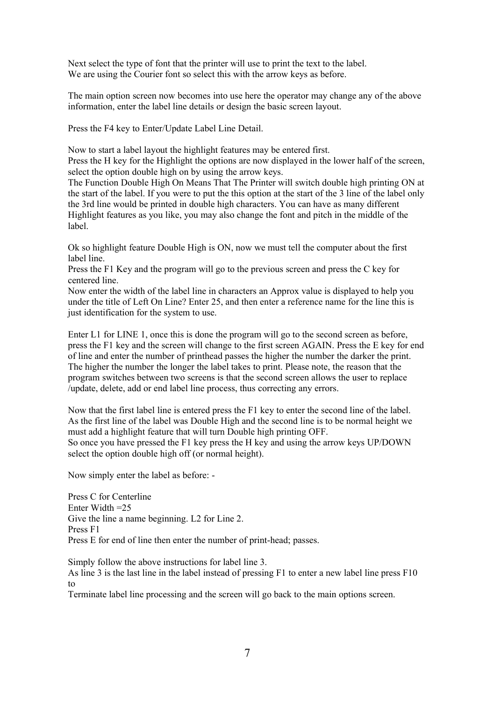Next select the type of font that the printer will use to print the text to the label. We are using the Courier font so select this with the arrow keys as before.

The main option screen now becomes into use here the operator may change any of the above information, enter the label line details or design the basic screen layout.

Press the F4 key to Enter/Update Label Line Detail.

Now to start a label layout the highlight features may be entered first. Press the H key for the Highlight the options are now displayed in the lower half of the screen, select the option double high on by using the arrow keys.

The Function Double High On Means That The Printer will switch double high printing ON at the start of the label. If you were to put the this option at the start of the 3 line of the label only the 3rd line would be printed in double high characters. You can have as many different Highlight features as you like, you may also change the font and pitch in the middle of the label.

Ok so highlight feature Double High is ON, now we must tell the computer about the first label line.

Press the F1 Key and the program will go to the previous screen and press the C key for centered line.

Now enter the width of the label line in characters an Approx value is displayed to help you under the title of Left On Line? Enter 25, and then enter a reference name for the line this is just identification for the system to use.

Enter L1 for LINE 1, once this is done the program will go to the second screen as before, press the F1 key and the screen will change to the first screen AGAIN. Press the E key for end of line and enter the number of printhead passes the higher the number the darker the print. The higher the number the longer the label takes to print. Please note, the reason that the program switches between two screens is that the second screen allows the user to replace /update, delete, add or end label line process, thus correcting any errors.

Now that the first label line is entered press the F1 key to enter the second line of the label. As the first line of the label was Double High and the second line is to be normal height we must add a highlight feature that will turn Double high printing OFF. So once you have pressed the F1 key press the H key and using the arrow keys UP/DOWN select the option double high off (or normal height).

Now simply enter the label as before: -

Press C for Centerline Enter Width =25 Give the line a name beginning. L2 for Line 2. Press F1 Press E for end of line then enter the number of print-head; passes.

Simply follow the above instructions for label line 3.

As line 3 is the last line in the label instead of pressing F1 to enter a new label line press F10 to

Terminate label line processing and the screen will go back to the main options screen.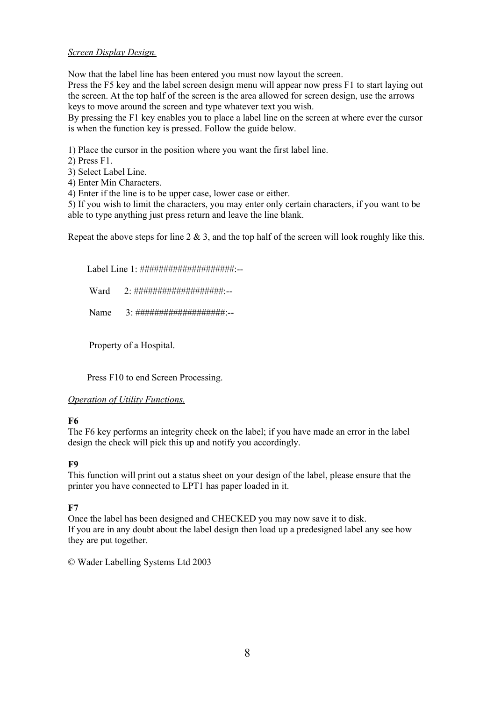## *Screen Display Design.*

Now that the label line has been entered you must now layout the screen. Press the F5 key and the label screen design menu will appear now press F1 to start laying out the screen. At the top half of the screen is the area allowed for screen design, use the arrows keys to move around the screen and type whatever text you wish.

By pressing the F1 key enables you to place a label line on the screen at where ever the cursor is when the function key is pressed. Follow the guide below.

1) Place the cursor in the position where you want the first label line.

2) Press F1.

3) Select Label Line.

4) Enter Min Characters.

4) Enter if the line is to be upper case, lower case or either.

5) If you wish to limit the characters, you may enter only certain characters, if you want to be able to type anything just press return and leave the line blank.

Repeat the above steps for line  $2 \& 3$ , and the top half of the screen will look roughly like this.

Label Line 1: #####################:--

Ward 2: #################### -\_

Name 3: ################### --

Property of a Hospital.

Press F10 to end Screen Processing.

## *Operation of Utility Functions.*

## **F6**

The F6 key performs an integrity check on the label; if you have made an error in the label design the check will pick this up and notify you accordingly.

## **F9**

This function will print out a status sheet on your design of the label, please ensure that the printer you have connected to LPT1 has paper loaded in it.

## **F7**

Once the label has been designed and CHECKED you may now save it to disk. If you are in any doubt about the label design then load up a predesigned label any see how they are put together.

© Wader Labelling Systems Ltd 2003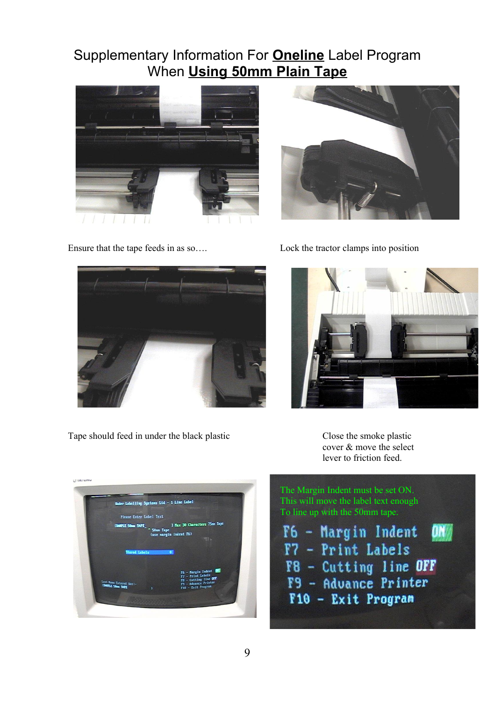# Supplementary Information For **Oneline** Label Program When **Using 50mm Plain Tape**











Tape should feed in under the black plastic Close the smoke plastic

cover & move the select lever to friction feed.





 $\mathbf{u}$ T7 - Print Labels F8 - Cutting line OFF F9 - Advance Printer F10 - Exit Program